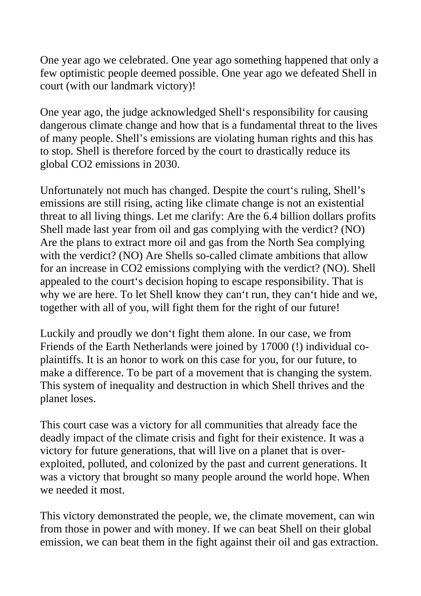One year ago we celebrated. One year ago something happened that only a few optimistic people deemed possible. One year ago we defeated Shell in court (with our landmark victory)!

One year ago, the judge acknowledged Shell's responsibility for causing dangerous climate change and how that is a fundamental threat to the lives of many people. Shell's emissions are violating human rights and this has to stop. Shell is therefore forced by the court to drastically reduce its global CO2 emissions in 2030.

Unfortunately not much has changed. Despite the court's ruling, Shell's emissions are still rising, acting like climate change is not an existential threat to all living things. Let me clarify: Are the 6.4 billion dollars profits Shell made last year from oil and gas complying with the verdict? (NO) Are the plans to extract more oil and gas from the North Sea complying with the verdict? (NO) Are Shells so-called climate ambitions that allow for an increase in CO2 emissions complying with the verdict? (NO). Shell appealed to the court's decision hoping to escape responsibility. That is why we are here. To let Shell know they can't run, they can't hide and we, together with all of you, will fight them for the right of our future!

Luckily and proudly we don't fight them alone. In our case, we from Friends of the Earth Netherlands were joined by 17000 (!) individual coplaintiffs. It is an honor to work on this case for you, for our future, to make a difference. To be part of a movement that is changing the system. This system of inequality and destruction in which Shell thrives and the planet loses.

This court case was a victory for all communities that already face the deadly impact of the climate crisis and fight for their existence. It was a victory for future generations, that will live on a planet that is overexploited, polluted, and colonized by the past and current generations. It was a victory that brought so many people around the world hope. When we needed it most.

This victory demonstrated the people, we, the climate movement, can win from those in power and with money. If we can beat Shell on their global emission, we can beat them in the fight against their oil and gas extraction.